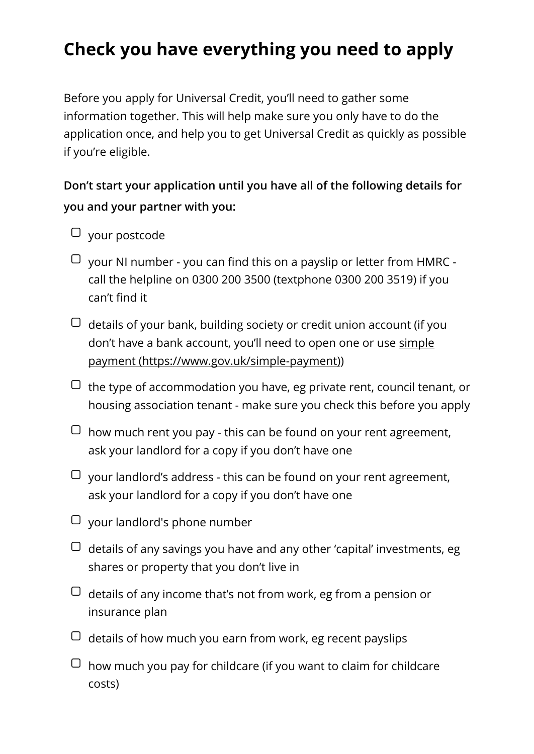## **Check you have everything you need to apply**

Before you apply for Universal Credit, you'll need to gather some information together. This will help make sure you only have to do the application once, and help you to get Universal Credit as quickly as possible if you're eligible.

## **Don't start your application until you have all of the following details for you and your partner with you:**

- your postcode
- $\Box$  your NI number you can find this on a payslip or letter from <code>HMRC</code> call the helpline on 0300 200 3500 (textphone 0300 200 3519) if you can't find it
- $\Box$  details of your bank, building society or credit union account (if you don't have a bank account, you'll need to open one or use simple payment [\(https://www.gov.uk/simple-payment\)\)](https://www.gov.uk/simple-payment)
- $\Box~$  the type of accommodation you have, eg private rent, council tenant, or housing association tenant - make sure you check this before you apply
- $\Box~$  how much rent you pay this can be found on your rent agreement, ask your landlord for a copy if you don't have one
- $\Box$  your landlord's address this can be found on your rent agreement, ask your landlord for a copy if you don't have one
- your landlord's phone number
- $\Box$  details of any savings you have and any other 'capital' investments, eg shares or property that you don't live in
- $\Box~$  details of any income that's not from work, eg from a pension or insurance plan
- $\Box$  details of how much you earn from work, eg recent payslips
- $\Box~$  how much you pay for childcare (if you want to claim for childcare costs)